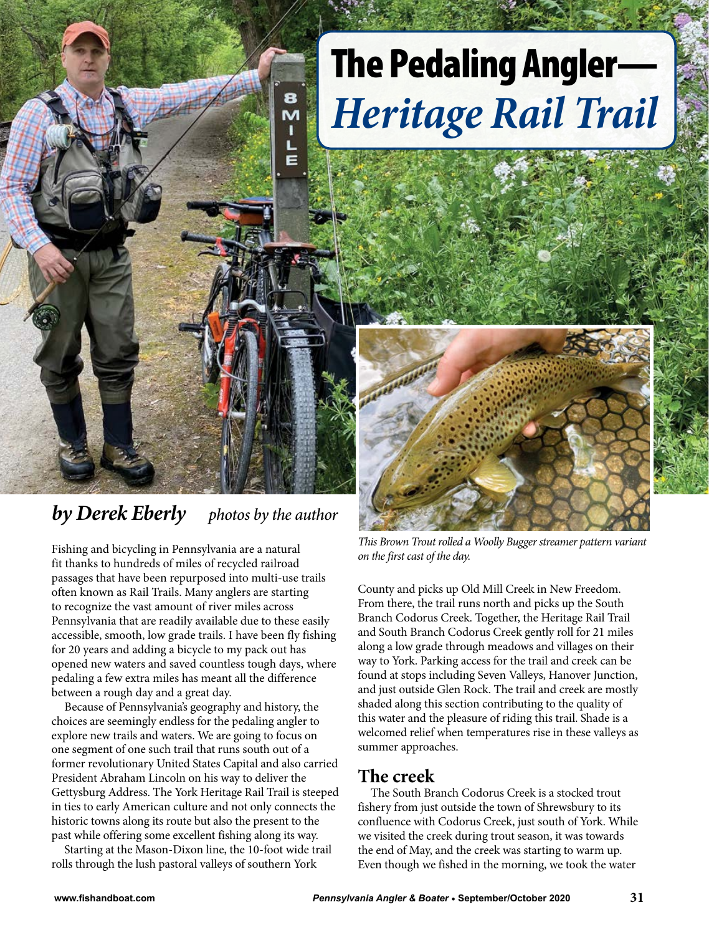

## *by Derek Eberly photos by the author*

Fishing and bicycling in Pennsylvania are a natural fit thanks to hundreds of miles of recycled railroad passages that have been repurposed into multi-use trails often known as Rail Trails. Many anglers are starting to recognize the vast amount of river miles across Pennsylvania that are readily available due to these easily accessible, smooth, low grade trails. I have been fly fishing for 20 years and adding a bicycle to my pack out has opened new waters and saved countless tough days, where pedaling a few extra miles has meant all the difference between a rough day and a great day.

Because of Pennsylvania's geography and history, the choices are seemingly endless for the pedaling angler to explore new trails and waters. We are going to focus on one segment of one such trail that runs south out of a former revolutionary United States Capital and also carried President Abraham Lincoln on his way to deliver the Gettysburg Address. The York Heritage Rail Trail is steeped in ties to early American culture and not only connects the historic towns along its route but also the present to the past while offering some excellent fishing along its way.

Starting at the Mason-Dixon line, the 10-foot wide trail rolls through the lush pastoral valleys of southern York

# The Pedaling Angler— *Heritage Rail Trail*



*This Brown Trout rolled a Woolly Bugger streamer pattern variant on the first cast of the day.* 

County and picks up Old Mill Creek in New Freedom. From there, the trail runs north and picks up the South Branch Codorus Creek. Together, the Heritage Rail Trail and South Branch Codorus Creek gently roll for 21 miles along a low grade through meadows and villages on their way to York. Parking access for the trail and creek can be found at stops including Seven Valleys, Hanover Junction, and just outside Glen Rock. The trail and creek are mostly shaded along this section contributing to the quality of this water and the pleasure of riding this trail. Shade is a welcomed relief when temperatures rise in these valleys as summer approaches.

#### **The creek**

The South Branch Codorus Creek is a stocked trout fishery from just outside the town of Shrewsbury to its confluence with Codorus Creek, just south of York. While we visited the creek during trout season, it was towards the end of May, and the creek was starting to warm up. Even though we fished in the morning, we took the water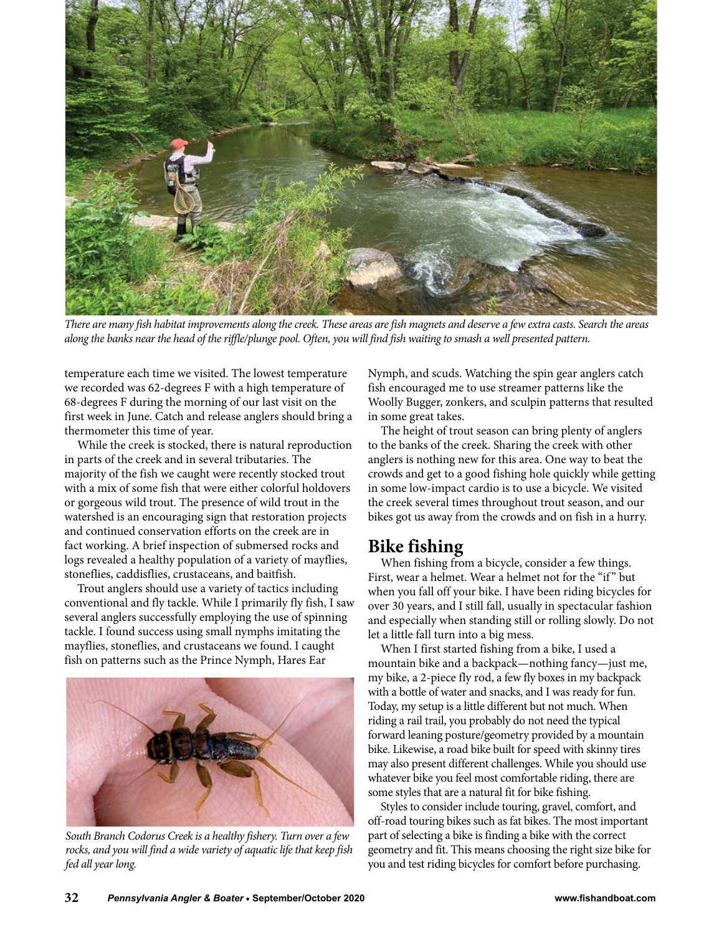

*There are many fish habitat improvements along the creek. These areas are fish magnets and deserve a few extra casts. Search the areas along the banks near the head of the riffle/plunge pool. Often, you will find fish waiting to smash a well presented pattern.*

temperature each time we visited. The lowest temperature we recorded was 62-degrees F with a high temperature of 68-degrees F during the morning of our last visit on the first week in June. Catch and release anglers should bring a thermometer this time of year.

While the creek is stocked, there is natural reproduction in parts of the creek and in several tributaries. The majority of the fish we caught were recently stocked trout with a mix of some fish that were either colorful holdovers or gorgeous wild trout. The presence of wild trout in the watershed is an encouraging sign that restoration projects and continued conservation efforts on the creek are in fact working. A brief inspection of submersed rocks and logs revealed a healthy population of a variety of mayflies, stoneflies, caddisflies, crustaceans, and baitfish.

Trout anglers should use a variety of tactics including conventional and fly tackle. While I primarily fly fish, I saw several anglers successfully employing the use of spinning tackle. I found success using small nymphs imitating the mayflies, stoneflies, and crustaceans we found. I caught fish on patterns such as the Prince Nymph, Hares Ear



*South Branch Codorus Creek is a healthy fishery. Turn over a few rocks, and you will find a wide variety of aquatic life that keep fish fed all year long.* 

Nymph, and scuds. Watching the spin gear anglers catch fish encouraged me to use streamer patterns like the Woolly Bugger, zonkers, and sculpin patterns that resulted in some great takes.

The height of trout season can bring plenty of anglers to the banks of the creek. Sharing the creek with other anglers is nothing new for this area. One way to beat the crowds and get to a good fishing hole quickly while getting in some low-impact cardio is to use a bicycle. We visited the creek several times throughout trout season, and our bikes got us away from the crowds and on fish in a hurry.

#### **Bike fishing**

When fishing from a bicycle, consider a few things. First, wear a helmet. Wear a helmet not for the "if" but when you fall off your bike. I have been riding bicycles for over 30 years, and I still fall, usually in spectacular fashion and especially when standing still or rolling slowly. Do not let a little fall turn into a big mess.

When I first started fishing from a bike, I used a mountain bike and a backpack—nothing fancy—just me, my bike, a 2-piece fly rod, a few fly boxes in my backpack with a bottle of water and snacks, and I was ready for fun. Today, my setup is a little different but not much. When riding a rail trail, you probably do not need the typical forward leaning posture/geometry provided by a mountain bike. Likewise, a road bike built for speed with skinny tires may also present different challenges. While you should use whatever bike you feel most comfortable riding, there are some styles that are a natural fit for bike fishing.

Styles to consider include touring, gravel, comfort, and off-road touring bikes such as fat bikes. The most important part of selecting a bike is finding a bike with the correct geometry and fit. This means choosing the right size bike for you and test riding bicycles for comfort before purchasing.